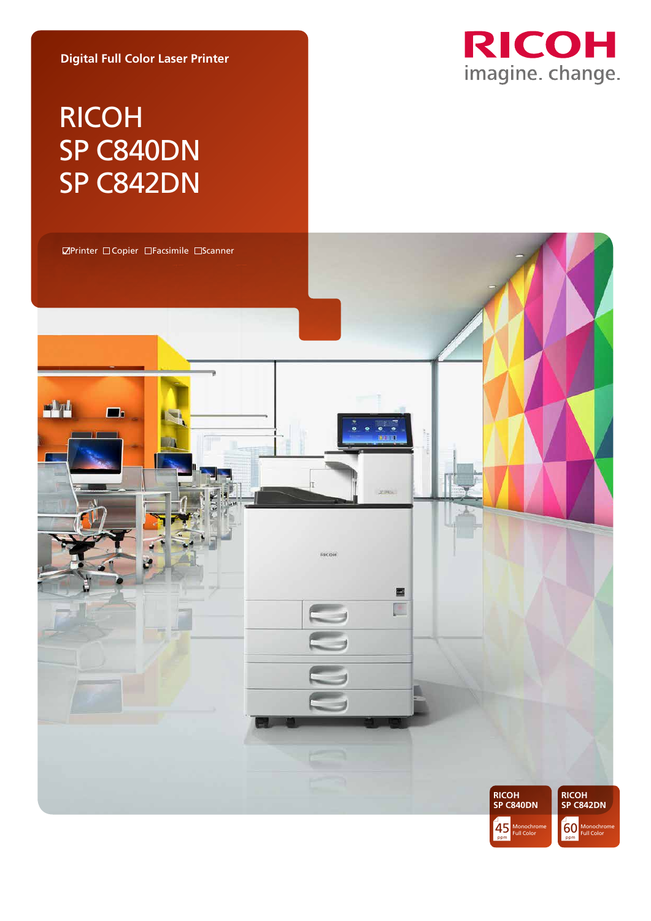**Digital Full Color Laser Printer**

# RICOH SP C840DN SP C842DN



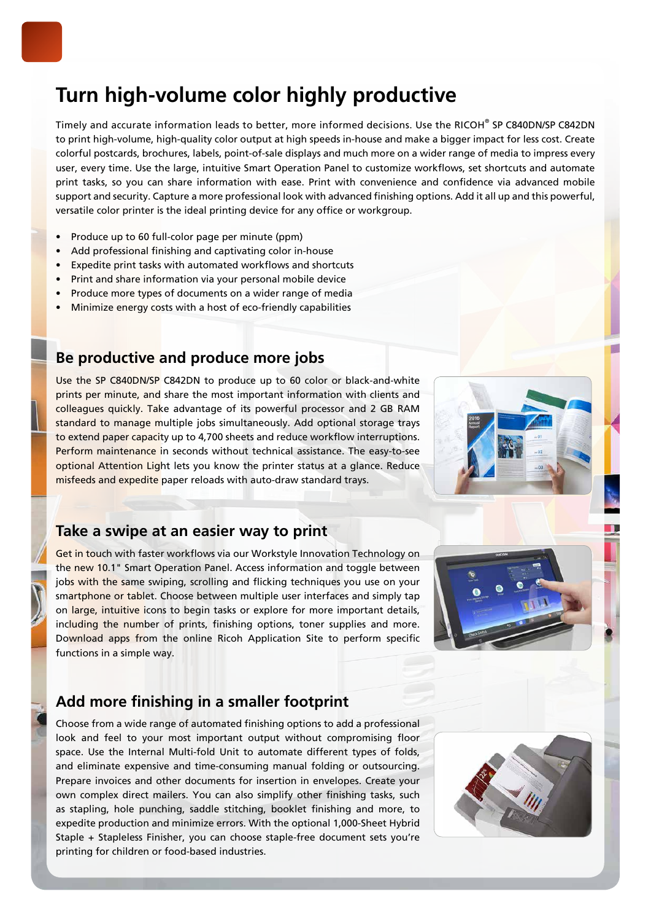# **Turn high-volume color highly productive**

Timely and accurate information leads to better, more informed decisions. Use the RICOH® SP C840DN/SP C842DN to print high-volume, high-quality color output at high speeds in-house and make a bigger impact for less cost. Create colorful postcards, brochures, labels, point-of-sale displays and much more on a wider range of media to impress every user, every time. Use the large, intuitive Smart Operation Panel to customize workflows, set shortcuts and automate print tasks, so you can share information with ease. Print with convenience and confidence via advanced mobile support and security. Capture a more professional look with advanced finishing options. Add it all up and this powerful, versatile color printer is the ideal printing device for any office or workgroup.

- Produce up to 60 full-color page per minute (ppm)
- Add professional finishing and captivating color in-house
- Expedite print tasks with automated workflows and shortcuts
- Print and share information via your personal mobile device
- Produce more types of documents on a wider range of media
- Minimize energy costs with a host of eco-friendly capabilities

### **Be productive and produce more jobs**

Use the SP C840DN/SP C842DN to produce up to 60 color or black-and-white prints per minute, and share the most important information with clients and colleagues quickly. Take advantage of its powerful processor and 2 GB RAM standard to manage multiple jobs simultaneously. Add optional storage trays to extend paper capacity up to 4,700 sheets and reduce workflow interruptions. Perform maintenance in seconds without technical assistance. The easy-to-see optional Attention Light lets you know the printer status at a glance. Reduce misfeeds and expedite paper reloads with auto-draw standard trays.

### **Take a swipe at an easier way to print**

Get in touch with faster workflows via our Workstyle Innovation Technology on the new 10.1" Smart Operation Panel. Access information and toggle between jobs with the same swiping, scrolling and flicking techniques you use on your smartphone or tablet. Choose between multiple user interfaces and simply tap on large, intuitive icons to begin tasks or explore for more important details, including the number of prints, finishing options, toner supplies and more. Download apps from the online Ricoh Application Site to perform specific functions in a simple way.



### **Add more finishing in a smaller footprint**

Choose from a wide range of automated finishing options to add a professional look and feel to your most important output without compromising floor space. Use the Internal Multi-fold Unit to automate different types of folds, and eliminate expensive and time-consuming manual folding or outsourcing. Prepare invoices and other documents for insertion in envelopes. Create your own complex direct mailers. You can also simplify other finishing tasks, such as stapling, hole punching, saddle stitching, booklet finishing and more, to expedite production and minimize errors. With the optional 1,000-Sheet Hybrid Staple + Stapleless Finisher, you can choose staple-free document sets you're printing for children or food-based industries.

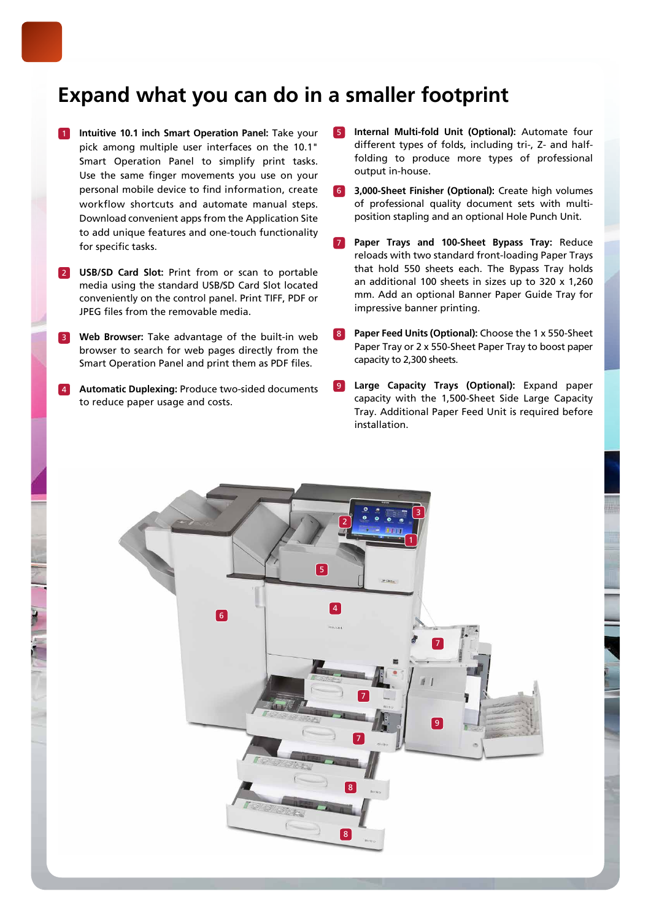## **Expand what you can do in a smaller footprint**

- 1 **Intuitive 10.1 inch Smart Operation Panel:** Take your pick among multiple user interfaces on the 10.1" Smart Operation Panel to simplify print tasks. Use the same finger movements you use on your personal mobile device to find information, create workflow shortcuts and automate manual steps. Download convenient apps from the Application Site to add unique features and one-touch functionality for specific tasks.
- 2 **USB/SD Card Slot:** Print from or scan to portable media using the standard USB/SD Card Slot located conveniently on the control panel. Print TIFF, PDF or JPEG files from the removable media.
- 3 **Web Browser:** Take advantage of the built-in web browser to search for web pages directly from the Smart Operation Panel and print them as PDF files.
- 4 **Automatic Duplexing:** Produce two-sided documents to reduce paper usage and costs.
- 5 **Internal Multi-fold Unit (Optional):** Automate four different types of folds, including tri-, Z- and halffolding to produce more types of professional output in-house.
- 6 **3,000-Sheet Finisher (Optional):** Create high volumes of professional quality document sets with multiposition stapling and an optional Hole Punch Unit.
- 7 **Paper Trays and 100-Sheet Bypass Tray:** Reduce reloads with two standard front-loading Paper Trays that hold 550 sheets each. The Bypass Tray holds an additional 100 sheets in sizes up to 320 x 1,260 mm. Add an optional Banner Paper Guide Tray for impressive banner printing.
- 8 **Paper Feed Units (Optional):** Choose the 1 x 550-Sheet Paper Tray or 2 x 550-Sheet Paper Tray to boost paper capacity to 2,300 sheets.
- 9 **Large Capacity Trays (Optional):** Expand paper capacity with the 1,500-Sheet Side Large Capacity Tray. Additional Paper Feed Unit is required before installation.